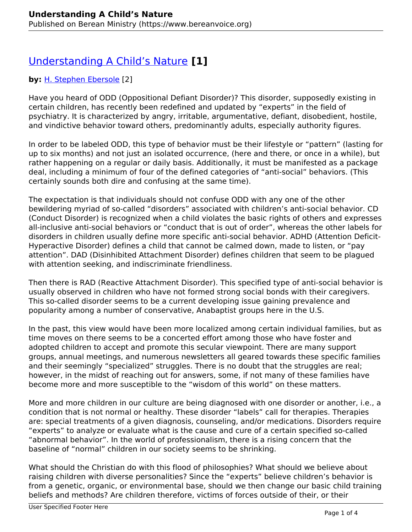# [Understanding A Child's Nature](https://www.bereanvoice.org/article/understanding-a-child-s-nature) **[1]**

### **by:** [H. Stephen Ebersole](https://www.bereanvoice.org/name/h-stephen-ebersole) [2]

Have you heard of ODD (Oppositional Defiant Disorder)? This disorder, supposedly existing in certain children, has recently been redefined and updated by "experts" in the field of psychiatry. It is characterized by angry, irritable, argumentative, defiant, disobedient, hostile, and vindictive behavior toward others, predominantly adults, especially authority figures.

In order to be labeled ODD, this type of behavior must be their lifestyle or "pattern" (lasting for up to six months) and not just an isolated occurrence, (here and there, or once in a while), but rather happening on a regular or daily basis. Additionally, it must be manifested as a package deal, including a minimum of four of the defined categories of "anti-social" behaviors. (This certainly sounds both dire and confusing at the same time).

The expectation is that individuals should not confuse ODD with any one of the other bewildering myriad of so-called "disorders" associated with children's anti-social behavior. CD (Conduct Disorder) is recognized when a child violates the basic rights of others and expresses all-inclusive anti-social behaviors or "conduct that is out of order", whereas the other labels for disorders in children usually define more specific anti-social behavior. ADHD (Attention Deficit-Hyperactive Disorder) defines a child that cannot be calmed down, made to listen, or "pay attention". DAD (Disinhibited Attachment Disorder) defines children that seem to be plagued with attention seeking, and indiscriminate friendliness.

Then there is RAD (Reactive Attachment Disorder). This specified type of anti-social behavior is usually observed in children who have not formed strong social bonds with their caregivers. This so-called disorder seems to be a current developing issue gaining prevalence and popularity among a number of conservative, Anabaptist groups here in the U.S.

In the past, this view would have been more localized among certain individual families, but as time moves on there seems to be a concerted effort among those who have foster and adopted children to accept and promote this secular viewpoint. There are many support groups, annual meetings, and numerous newsletters all geared towards these specific families and their seemingly "specialized" struggles. There is no doubt that the struggles are real; however, in the midst of reaching out for answers, some, if not many of these families have become more and more susceptible to the "wisdom of this world" on these matters.

More and more children in our culture are being diagnosed with one disorder or another, i.e., a condition that is not normal or healthy. These disorder "labels" call for therapies. Therapies are: special treatments of a given diagnosis, counseling, and/or medications. Disorders require "experts" to analyze or evaluate what is the cause and cure of a certain specified so-called "abnormal behavior". In the world of professionalism, there is a rising concern that the baseline of "normal" children in our society seems to be shrinking.

What should the Christian do with this flood of philosophies? What should we believe about raising children with diverse personalities? Since the "experts" believe children's behavior is from a genetic, organic, or environmental base, should we then change our basic child training beliefs and methods? Are children therefore, victims of forces outside of their, or their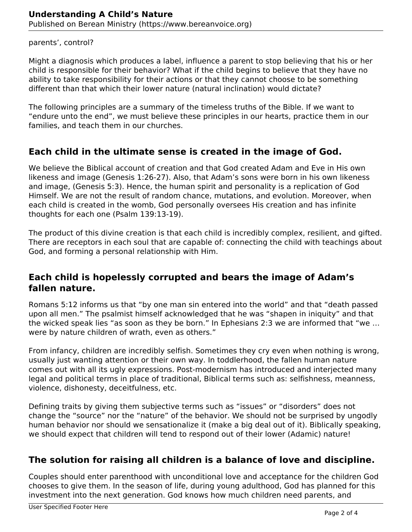parents', control?

Might a diagnosis which produces a label, influence a parent to stop believing that his or her child is responsible for their behavior? What if the child begins to believe that they have no ability to take responsibility for their actions or that they cannot choose to be something different than that which their lower nature (natural inclination) would dictate?

The following principles are a summary of the timeless truths of the Bible. If we want to "endure unto the end", we must believe these principles in our hearts, practice them in our families, and teach them in our churches.

# **Each child in the ultimate sense is created in the image of God.**

We believe the Biblical account of creation and that God created Adam and Eve in His own likeness and image (Genesis 1:26-27). Also, that Adam's sons were born in his own likeness and image, (Genesis 5:3). Hence, the human spirit and personality is a replication of God Himself. We are not the result of random chance, mutations, and evolution. Moreover, when each child is created in the womb, God personally oversees His creation and has infinite thoughts for each one (Psalm 139:13-19).

The product of this divine creation is that each child is incredibly complex, resilient, and gifted. There are receptors in each soul that are capable of: connecting the child with teachings about God, and forming a personal relationship with Him.

# **Each child is hopelessly corrupted and bears the image of Adam's fallen nature.**

Romans 5:12 informs us that "by one man sin entered into the world" and that "death passed upon all men." The psalmist himself acknowledged that he was "shapen in iniquity" and that the wicked speak lies "as soon as they be born." In Ephesians 2:3 we are informed that "we … were by nature children of wrath, even as others."

From infancy, children are incredibly selfish. Sometimes they cry even when nothing is wrong, usually just wanting attention or their own way. In toddlerhood, the fallen human nature comes out with all its ugly expressions. Post-modernism has introduced and interjected many legal and political terms in place of traditional, Biblical terms such as: selfishness, meanness, violence, dishonesty, deceitfulness, etc.

Defining traits by giving them subjective terms such as "issues" or "disorders" does not change the "source" nor the "nature" of the behavior. We should not be surprised by ungodly human behavior nor should we sensationalize it (make a big deal out of it). Biblically speaking, we should expect that children will tend to respond out of their lower (Adamic) nature!

# **The solution for raising all children is a balance of love and discipline.**

Couples should enter parenthood with unconditional love and acceptance for the children God chooses to give them. In the season of life, during young adulthood, God has planned for this investment into the next generation. God knows how much children need parents, and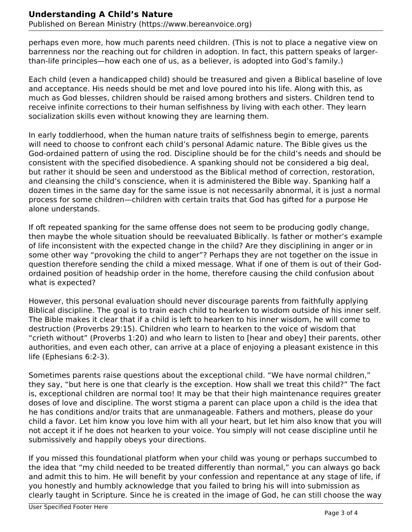#### **Understanding A Child's Nature** Published on Berean Ministry (https://www.bereanvoice.org)

perhaps even more, how much parents need children. (This is not to place a negative view on barrenness nor the reaching out for children in adoption. In fact, this pattern speaks of largerthan-life principles—how each one of us, as a believer, is adopted into God's family.)

Each child (even a handicapped child) should be treasured and given a Biblical baseline of love and acceptance. His needs should be met and love poured into his life. Along with this, as much as God blesses, children should be raised among brothers and sisters. Children tend to receive infinite corrections to their human selfishness by living with each other. They learn socialization skills even without knowing they are learning them.

In early toddlerhood, when the human nature traits of selfishness begin to emerge, parents will need to choose to confront each child's personal Adamic nature. The Bible gives us the God-ordained pattern of using the rod. Discipline should be for the child's needs and should be consistent with the specified disobedience. A spanking should not be considered a big deal, but rather it should be seen and understood as the Biblical method of correction, restoration, and cleansing the child's conscience, when it is administered the Bible way. Spanking half a dozen times in the same day for the same issue is not necessarily abnormal, it is just a normal process for some children—children with certain traits that God has gifted for a purpose He alone understands.

If oft repeated spanking for the same offense does not seem to be producing godly change, then maybe the whole situation should be reevaluated Biblically. Is father or mother's example of life inconsistent with the expected change in the child? Are they disciplining in anger or in some other way "provoking the child to anger"? Perhaps they are not together on the issue in question therefore sending the child a mixed message. What if one of them is out of their Godordained position of headship order in the home, therefore causing the child confusion about what is expected?

However, this personal evaluation should never discourage parents from faithfully applying Biblical discipline. The goal is to train each child to hearken to wisdom outside of his inner self. The Bible makes it clear that if a child is left to hearken to his inner wisdom, he will come to destruction (Proverbs 29:15). Children who learn to hearken to the voice of wisdom that "crieth without" (Proverbs 1:20) and who learn to listen to [hear and obey] their parents, other authorities, and even each other, can arrive at a place of enjoying a pleasant existence in this life (Ephesians 6:2-3).

Sometimes parents raise questions about the exceptional child. "We have normal children," they say, "but here is one that clearly is the exception. How shall we treat this child?" The fact is, exceptional children are normal too! It may be that their high maintenance requires greater doses of love and discipline. The worst stigma a parent can place upon a child is the idea that he has conditions and/or traits that are unmanageable. Fathers and mothers, please do your child a favor. Let him know you love him with all your heart, but let him also know that you will not accept it if he does not hearken to your voice. You simply will not cease discipline until he submissively and happily obeys your directions.

If you missed this foundational platform when your child was young or perhaps succumbed to the idea that "my child needed to be treated differently than normal," you can always go back and admit this to him. He will benefit by your confession and repentance at any stage of life, if you honestly and humbly acknowledge that you failed to bring his will into submission as clearly taught in Scripture. Since he is created in the image of God, he can still choose the way